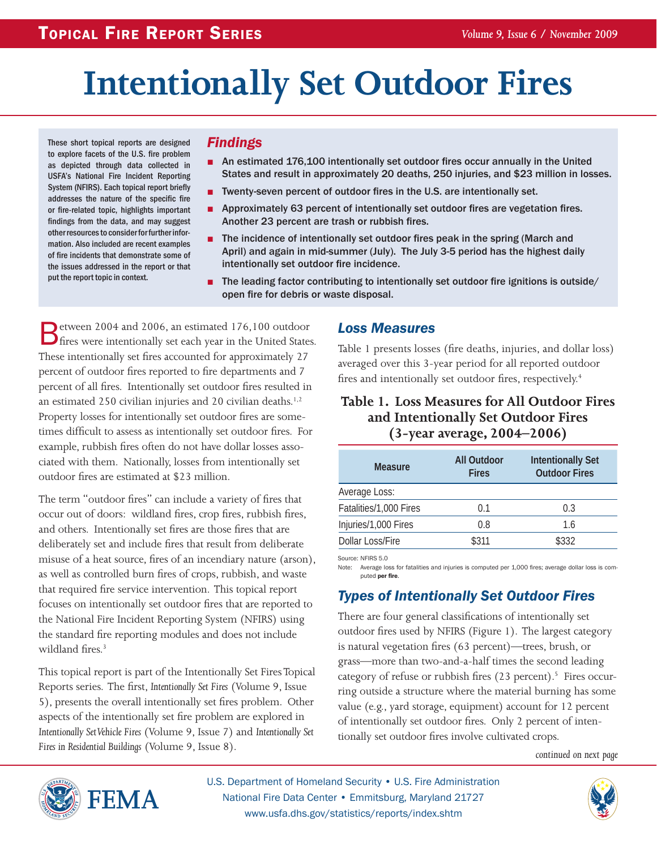# **Intentionally Set Outdoor Fires**

These short topical reports are designed to explore facets of the U.S. fire problem as depicted through data collected in USFA's National Fire Incident Reporting System (NFIRS). Each topical report briefly addresses the nature of the specific fire or fire-related topic, highlights important findings from the data, and may suggest other resources to consider for further information. Also included are recent examples of fire incidents that demonstrate some of the issues addressed in the report or that put the report topic in context.

#### *Findings*

- An estimated 176,100 intentionally set outdoor fires occur annually in the United States and result in approximately 20 deaths, 250 injuries, and \$23 million in losses.
- Twenty-seven percent of outdoor fires in the U.S. are intentionally set.
- Approximately 63 percent of intentionally set outdoor fires are vegetation fires. Another 23 percent are trash or rubbish fires.
- The incidence of intentionally set outdoor fires peak in the spring (March and April) and again in mid-summer (July). The July 3-5 period has the highest daily intentionally set outdoor fire incidence.
- The leading factor contributing to intentionally set outdoor fire ignitions is outside/ open fire for debris or waste disposal.

Between 2004 and 2006, an estimated 176,100 outdoor<br>
fires were intentionally set each year in the United States. These intentionally set fires accounted for approximately 27 percent of outdoor fires reported to fire departments and 7 percent of all fires. Intentionally set outdoor fires resulted in an estimated 250 civilian injuries and 20 civilian deaths.<sup>1,2</sup> Property losses for intentionally set outdoor fires are sometimes difficult to assess as intentionally set outdoor fires. For example, rubbish fires often do not have dollar losses associated with them. Nationally, losses from intentionally set outdoor fires are estimated at \$23 million.

The term "outdoor fires" can include a variety of fires that occur out of doors: wildland fires, crop fires, rubbish fires, and others. Intentionally set fires are those fires that are deliberately set and include fires that result from deliberate misuse of a heat source, fires of an incendiary nature (arson), as well as controlled burn fires of crops, rubbish, and waste that required fire service intervention. This topical report focuses on intentionally set outdoor fires that are reported to the National Fire Incident Reporting System (NFIRS) using the standard fire reporting modules and does not include wildland fires.<sup>3</sup>

This topical report is part of the Intentionally Set Fires Topical Reports series. The first, *Intentionally Set Fires* (Volume 9, Issue 5), presents the overall intentionally set fires problem. Other aspects of the intentionally set fire problem are explored in *Intentionally Set Vehicle Fires* (Volume 9, Issue 7) and *Intentionally Set Fires in Residential Buildings* (Volume 9, Issue 8).

#### *Loss Measures*

Table 1 presents losses (fire deaths, injuries, and dollar loss) averaged over this 3-year period for all reported outdoor fires and intentionally set outdoor fires, respectively.<sup>4</sup>

#### **Table 1. Loss Measures for All Outdoor Fires and Intentionally Set Outdoor Fires (3-year average, 2004–2006)**

| <b>Measure</b>         | All Outdoor<br><b>Fires</b> | <b>Intentionally Set</b><br><b>Outdoor Fires</b> |
|------------------------|-----------------------------|--------------------------------------------------|
| Average Loss:          |                             |                                                  |
| Fatalities/1,000 Fires | 01                          | 0.3                                              |
| Injuries/1,000 Fires   | 0.8                         | 1.6                                              |
| Dollar Loss/Fire       | \$311                       | \$332                                            |

Source: NFIRS 5.0

Note: Average loss for fatalities and injuries is computed per 1,000 fires; average dollar loss is computed per fire.

# *Types of Intentionally Set Outdoor Fires*

There are four general classifications of intentionally set outdoor fires used by NFIRS (Figure 1). The largest category is natural vegetation fires (63 percent)—trees, brush, or grass—more than two-and-a-half times the second leading category of refuse or rubbish fires (23 percent).<sup>5</sup> Fires occurring outside a structure where the material burning has some value (e.g., yard storage, equipment) account for 12 percent of intentionally set outdoor fires. Only 2 percent of intentionally set outdoor fires involve cultivated crops.

*continued on next page*



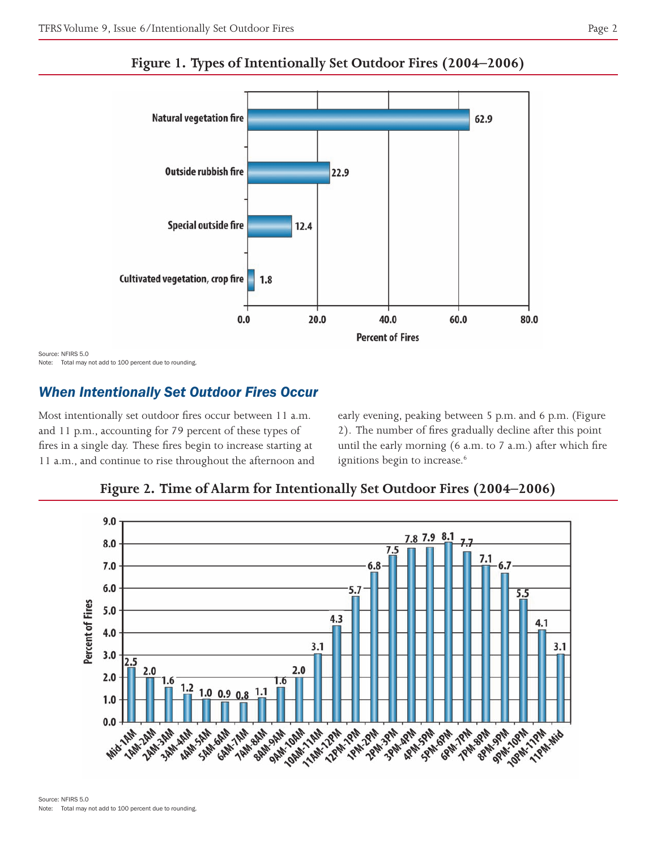

**Figure 1. Types of Intentionally Set Outdoor Fires (2004–2006)**

Source: NFIRS 5.0 Note: Total may not add to 100 percent due to rounding.

# *When Intentionally Set Outdoor Fires Occur*

Most intentionally set outdoor fires occur between 11 a.m. and 11 p.m., accounting for 79 percent of these types of fires in a single day. These fires begin to increase starting at 11 a.m., and continue to rise throughout the afternoon and early evening, peaking between 5 p.m. and 6 p.m. (Figure 2). The number of fires gradually decline after this point until the early morning (6 a.m. to 7 a.m.) after which fire ignitions begin to increase.<sup>6</sup>



**Figure 2. Time of Alarm for Intentionally Set Outdoor Fires (2004–2006)**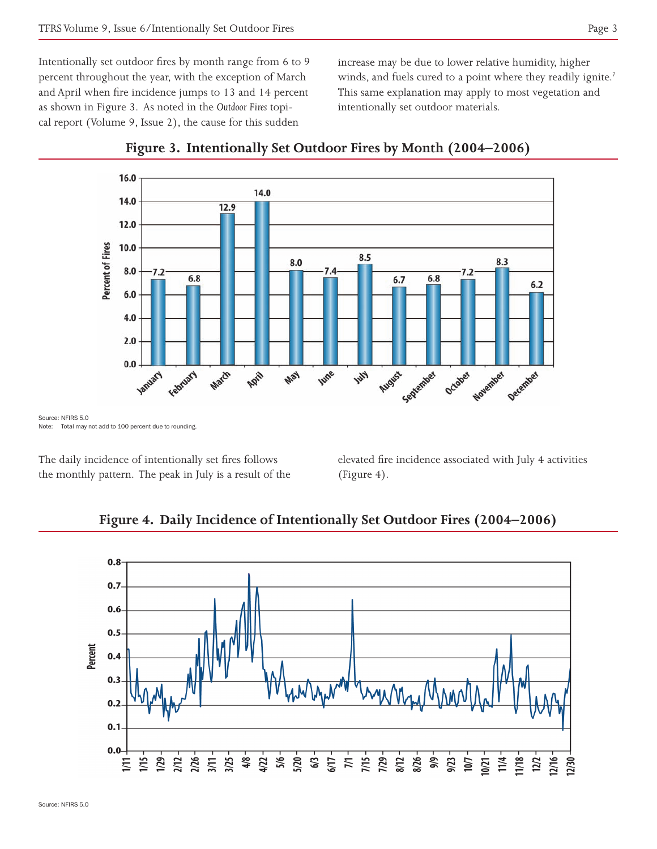Intentionally set outdoor fires by month range from 6 to 9 percent throughout the year, with the exception of March and April when fire incidence jumps to 13 and 14 percent as shown in Figure 3. As noted in the *Outdoor Fires* topical report (Volume 9, Issue 2), the cause for this sudden

increase may be due to lower relative humidity, higher winds, and fuels cured to a point where they readily ignite.<sup>7</sup> This same explanation may apply to most vegetation and intentionally set outdoor materials.





Source: NFIRS 5.0 Note: Total may not add to 100 percent due to rounding.

The daily incidence of intentionally set fires follows the monthly pattern. The peak in July is a result of the elevated fire incidence associated with July 4 activities (Figure 4).



#### **Figure 4. Daily Incidence of Intentionally Set Outdoor Fires (2004–2006)**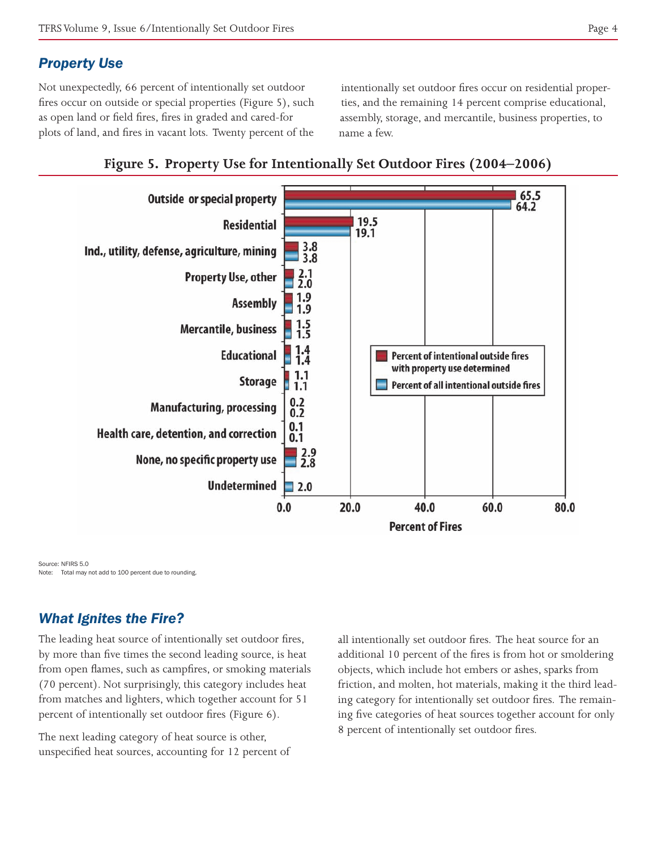#### *Property Use*

Not unexpectedly, 66 percent of intentionally set outdoor fires occur on outside or special properties (Figure 5), such as open land or field fires, fires in graded and cared-for plots of land, and fires in vacant lots. Twenty percent of the

intentionally set outdoor fires occur on residential properties, and the remaining 14 percent comprise educational, assembly, storage, and mercantile, business properties, to name a few.



#### **Figure 5. Property Use for Intentionally Set Outdoor Fires (2004–2006)**

Source: NFIRS 5.0 Note: Total may not add to 100 percent due to rounding.

# *What Ignites the Fire?*

The leading heat source of intentionally set outdoor fires, by more than five times the second leading source, is heat from open flames, such as campfires, or smoking materials (70 percent). Not surprisingly, this category includes heat from matches and lighters, which together account for 51 percent of intentionally set outdoor fires (Figure 6).

The next leading category of heat source is other, unspecified heat sources, accounting for 12 percent of all intentionally set outdoor fires. The heat source for an additional 10 percent of the fires is from hot or smoldering objects, which include hot embers or ashes, sparks from friction, and molten, hot materials, making it the third leading category for intentionally set outdoor fires. The remaining five categories of heat sources together account for only 8 percent of intentionally set outdoor fires.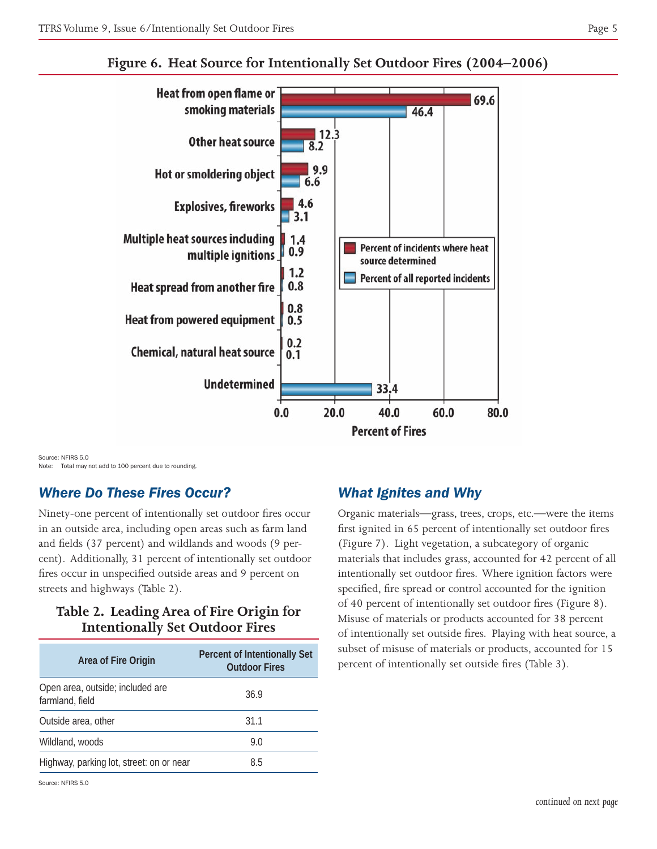

# **Figure 6. Heat Source for Intentionally Set Outdoor Fires (2004–2006)**

Source: NFIRS 5.0 Note: Total may not add to 100 percent due to rounding.

## *Where Do These Fires Occur?*

Ninety-one percent of intentionally set outdoor fires occur in an outside area, including open areas such as farm land and fields (37 percent) and wildlands and woods (9 percent). Additionally, 31 percent of intentionally set outdoor fires occur in unspecified outside areas and 9 percent on streets and highways (Table 2).

# **Table 2. Leading Area of Fire Origin for Intentionally Set Outdoor Fires**

| Area of Fire Origin                                 | Percent of Intentionally Set<br><b>Outdoor Fires</b> |
|-----------------------------------------------------|------------------------------------------------------|
| Open area, outside; included are<br>farmland, field | 36.9                                                 |
| Outside area, other                                 | 31.1                                                 |
| Wildland, woods                                     | 9.0                                                  |
| Highway, parking lot, street: on or near            | 8.5                                                  |

#### Source: NFIRS 5.0

#### *What Ignites and Why*

Organic materials—grass, trees, crops, etc.—were the items first ignited in 65 percent of intentionally set outdoor fires (Figure 7). Light vegetation, a subcategory of organic materials that includes grass, accounted for 42 percent of all intentionally set outdoor fires. Where ignition factors were specified, fire spread or control accounted for the ignition of 40 percent of intentionally set outdoor fires (Figure 8). Misuse of materials or products accounted for 38 percent of intentionally set outside fires. Playing with heat source, a subset of misuse of materials or products, accounted for 15 percent of intentionally set outside fires (Table 3).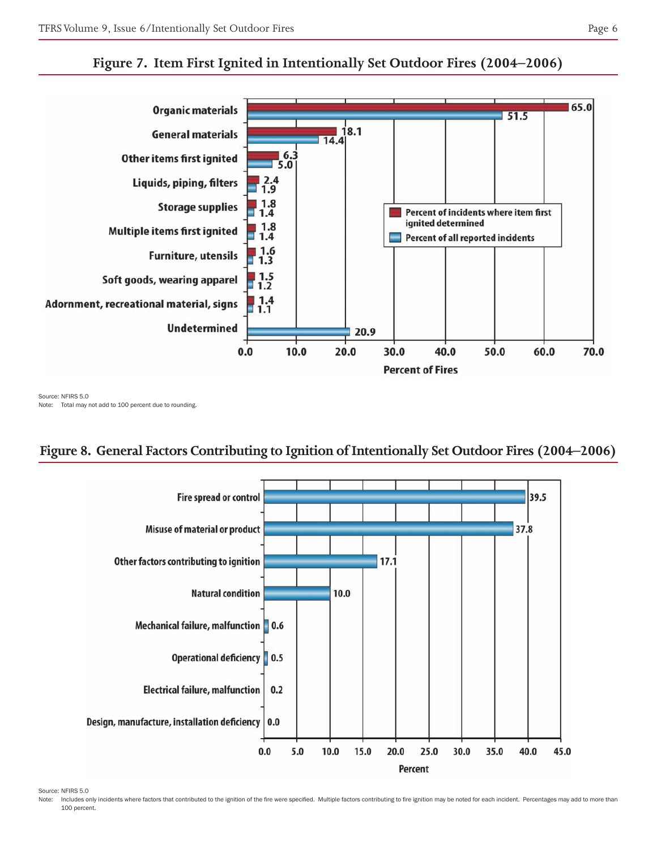



Source: NFIRS 5.0 Note: Total may not add to 100 percent due to rounding.

# **Figure 8. General Factors Contributing to Ignition of Intentionally Set Outdoor Fires (2004–2006)**



Source: NFIRS 5.0

Note: Includes only incidents where factors that contributed to the ignition of the fire were specified. Multiple factors contributing to fire ignition may be noted for each incident. Percentages may add to more than 100 percent.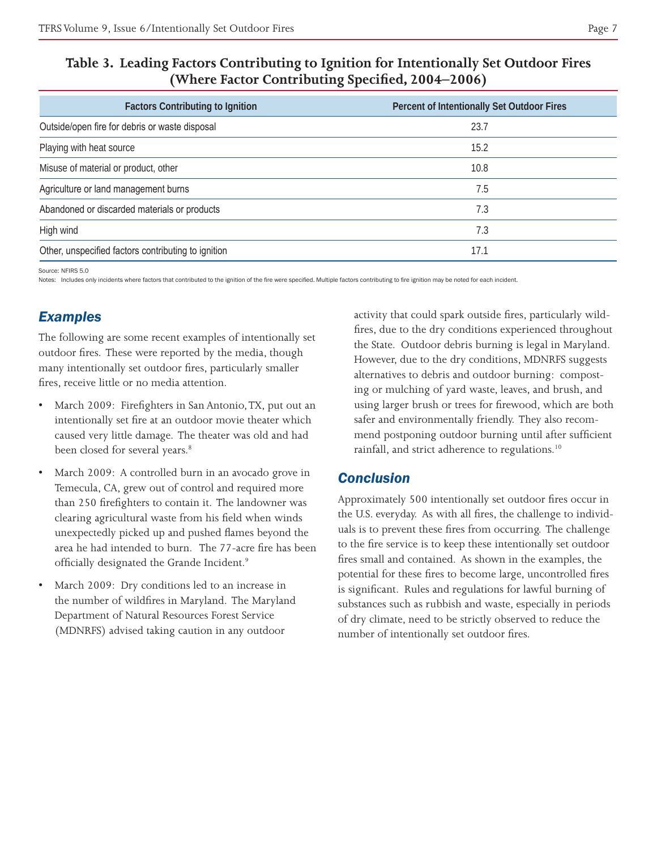|--|--|

#### **Table 3. Leading Factors Contributing to Ignition for Intentionally Set Outdoor Fires (Where Factor Contributing Specified, 2004–2006)**

| <b>Factors Contributing to Ignition</b>             | Percent of Intentionally Set Outdoor Fires |
|-----------------------------------------------------|--------------------------------------------|
| Outside/open fire for debris or waste disposal      | 23.7                                       |
| Playing with heat source                            | 15.2                                       |
| Misuse of material or product, other                | 10.8                                       |
| Agriculture or land management burns                | 7.5                                        |
| Abandoned or discarded materials or products        | 7.3                                        |
| High wind                                           | 7.3                                        |
| Other, unspecified factors contributing to ignition | 17.1                                       |

Source: NFIRS 5.0

Notes: Includes only incidents where factors that contributed to the ignition of the fire were specified. Multiple factors contributing to fire ignition may be noted for each incident.

# *Examples*

The following are some recent examples of intentionally set outdoor fires. These were reported by the media, though many intentionally set outdoor fires, particularly smaller fires, receive little or no media attention.

- March 2009: Firefighters in San Antonio, TX, put out an intentionally set fire at an outdoor movie theater which caused very little damage. The theater was old and had been closed for several years.<sup>8</sup>
- March 2009: A controlled burn in an avocado grove in Temecula, CA, grew out of control and required more than 250 firefighters to contain it. The landowner was clearing agricultural waste from his field when winds unexpectedly picked up and pushed flames beyond the area he had intended to burn. The 77-acre fire has been officially designated the Grande Incident.9
- March 2009: Dry conditions led to an increase in the number of wildfires in Maryland. The Maryland Department of Natural Resources Forest Service (MDNRFS) advised taking caution in any outdoor

activity that could spark outside fires, particularly wildfires, due to the dry conditions experienced throughout the State. Outdoor debris burning is legal in Maryland. However, due to the dry conditions, MDNRFS suggests alternatives to debris and outdoor burning: composting or mulching of yard waste, leaves, and brush, and using larger brush or trees for firewood, which are both safer and environmentally friendly. They also recommend postponing outdoor burning until after sufficient rainfall, and strict adherence to regulations.<sup>10</sup>

## *Conclusion*

Approximately 500 intentionally set outdoor fires occur in the U.S. everyday. As with all fires, the challenge to individuals is to prevent these fires from occurring. The challenge to the fire service is to keep these intentionally set outdoor fires small and contained. As shown in the examples, the potential for these fires to become large, uncontrolled fires is significant. Rules and regulations for lawful burning of substances such as rubbish and waste, especially in periods of dry climate, need to be strictly observed to reduce the number of intentionally set outdoor fires.